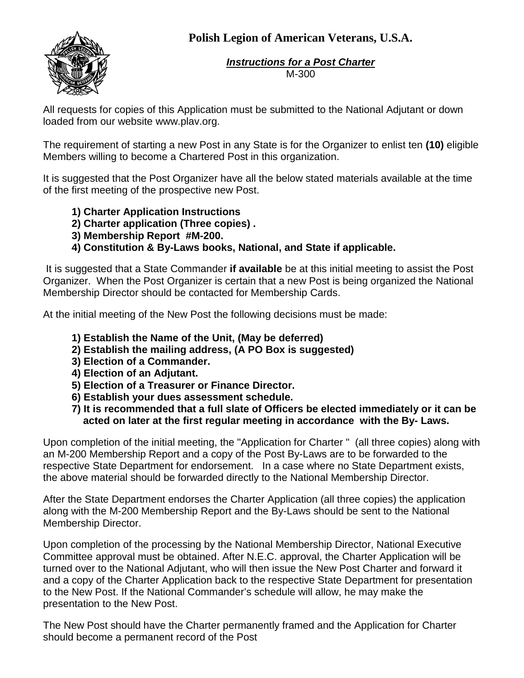## **Polish Legion of American Veterans, U.S.A.**



*Instructions for a Post Charter* M-300

All requests for copies of this Application must be submitted to the National Adjutant or down loaded from our website www.plav.org.

The requirement of starting a new Post in any State is for the Organizer to enlist ten **(10)** eligible Members willing to become a Chartered Post in this organization.

It is suggested that the Post Organizer have all the below stated materials available at the time of the first meeting of the prospective new Post.

- **1) Charter Application Instructions**
- **2) Charter application (Three copies) .**
- **3) Membership Report #M-200.**
- **4) Constitution & By-Laws books, National, and State if applicable.**

It is suggested that a State Commander **if available** be at this initial meeting to assist the Post Organizer. When the Post Organizer is certain that a new Post is being organized the National Membership Director should be contacted for Membership Cards.

At the initial meeting of the New Post the following decisions must be made:

- **1) Establish the Name of the Unit, (May be deferred)**
- **2) Establish the mailing address, (A PO Box is suggested)**
- **3) Election of a Commander.**
- **4) Election of an Adjutant.**
- **5) Election of a Treasurer or Finance Director.**
- **6) Establish your dues assessment schedule.**
- **7) It is recommended that a full slate of Officers be elected immediately or it can be acted on later at the first regular meeting in accordance with the By- Laws.**

Upon completion of the initial meeting, the "Application for Charter " (all three copies) along with an M-200 Membership Report and a copy of the Post By-Laws are to be forwarded to the respective State Department for endorsement. In a case where no State Department exists, the above material should be forwarded directly to the National Membership Director.

After the State Department endorses the Charter Application (all three copies) the application along with the M-200 Membership Report and the By-Laws should be sent to the National Membership Director.

Upon completion of the processing by the National Membership Director, National Executive Committee approval must be obtained. After N.E.C. approval, the Charter Application will be turned over to the National Adjutant, who will then issue the New Post Charter and forward it and a copy of the Charter Application back to the respective State Department for presentation to the New Post. If the National Commander's schedule will allow, he may make the presentation to the New Post.

The New Post should have the Charter permanently framed and the Application for Charter should become a permanent record of the Post